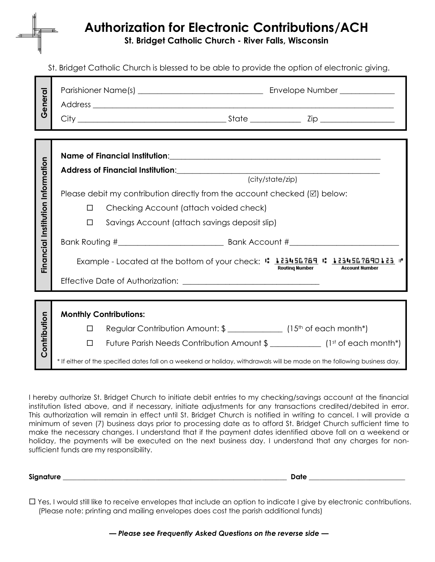## **Authorization for Electronic Contributions/ACH**

**St. Bridget Catholic Church - River Falls, Wisconsin**

St. Bridget Catholic Church is blessed to be able to provide the option of electronic giving.

| General               |                                                                                                                          |
|-----------------------|--------------------------------------------------------------------------------------------------------------------------|
|                       |                                                                                                                          |
|                       |                                                                                                                          |
|                       |                                                                                                                          |
| Information           |                                                                                                                          |
|                       |                                                                                                                          |
|                       | (city/state/zip)                                                                                                         |
|                       | Please debit my contribution directly from the account checked $[\mathbb{Z}]$ below:                                     |
|                       | Checking Account (attach voided check)<br>$\Box$                                                                         |
|                       | Savings Account (attach savings deposit slip)<br>□                                                                       |
|                       |                                                                                                                          |
| Financial Institution | Example - Located at the bottom of your check: : 123456789 : 1234567890123 :<br>Routing Number<br><b>Account Number</b>  |
|                       |                                                                                                                          |
|                       |                                                                                                                          |
| Contribution          | <b>Monthly Contributions:</b>                                                                                            |
|                       | Regular Contribution Amount: \$ ________________ (15 <sup>th</sup> of each month*)<br>$\Box$                             |
|                       | Future Parish Needs Contribution Amount \$ ______________ (1st of each month*)<br>$\Box$                                 |
|                       | * If either of the specified dates fall on a weekend or holiday, withdrawals will be made on the following business day. |

I hereby authorize St. Bridget Church to initiate debit entries to my checking/savings account at the financial institution listed above, and if necessary, initiate adjustments for any transactions credited/debited in error. This authorization will remain in effect until St. Bridget Church is notified in writing to cancel. I will provide a minimum of seven (7) business days prior to processing date as to afford St. Bridget Church sufficient time to make the necessary changes. I understand that if the payment dates identified above fall on a weekend or holiday, the payments will be executed on the next business day. I understand that any charges for nonsufficient funds are my responsibility.

**Signature \_\_\_\_\_\_\_\_\_\_\_\_\_\_\_\_\_\_\_\_\_\_\_\_\_\_\_\_\_\_\_\_\_\_\_\_\_\_\_\_\_\_\_\_\_\_\_\_\_\_\_\_\_\_\_\_\_\_\_\_\_\_\_ Date \_\_\_\_\_\_\_\_\_\_\_\_\_\_\_\_\_\_\_\_\_\_\_\_\_\_\_**

 Yes, I would still like to receive envelopes that include an option to indicate I give by electronic contributions. (Please note: printing and mailing envelopes does cost the parish additional funds)

*— Please see Frequently Asked Questions on the reverse side —*